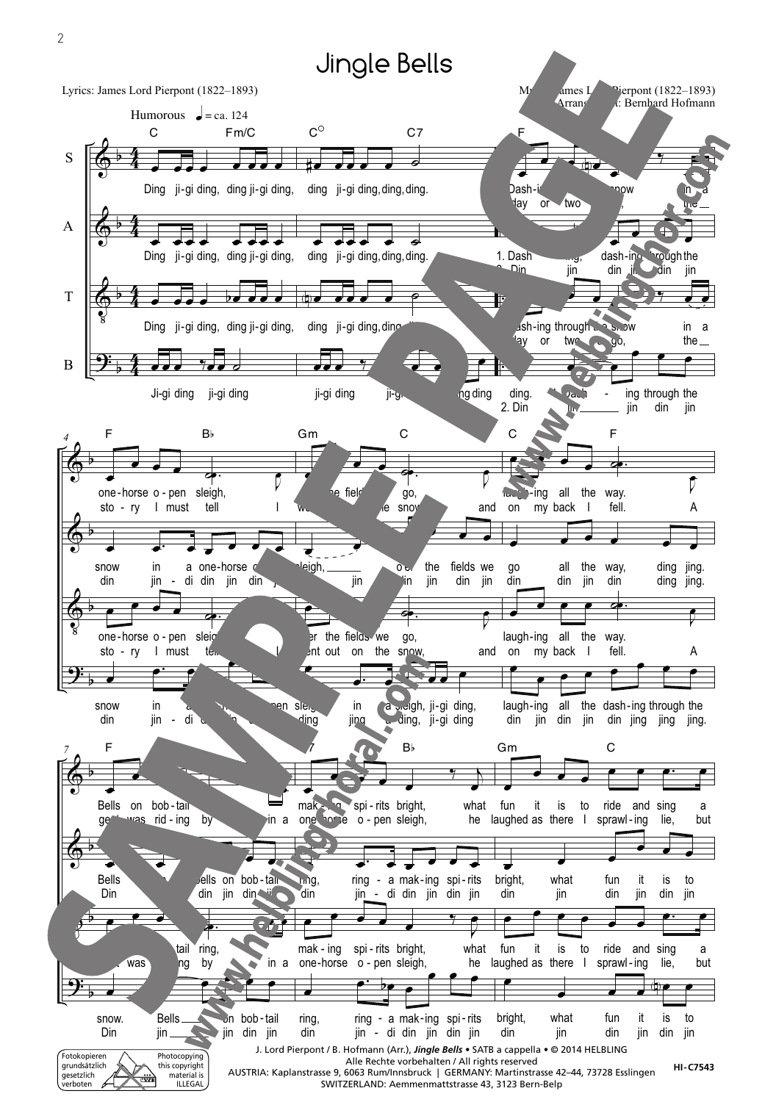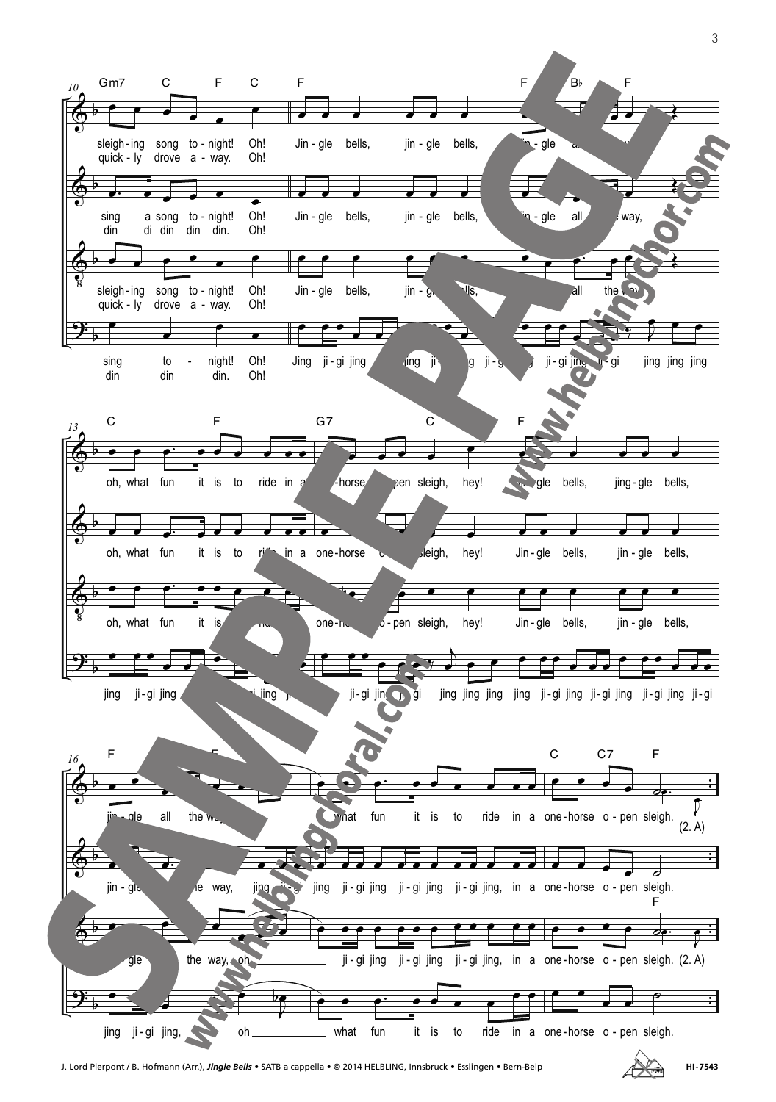

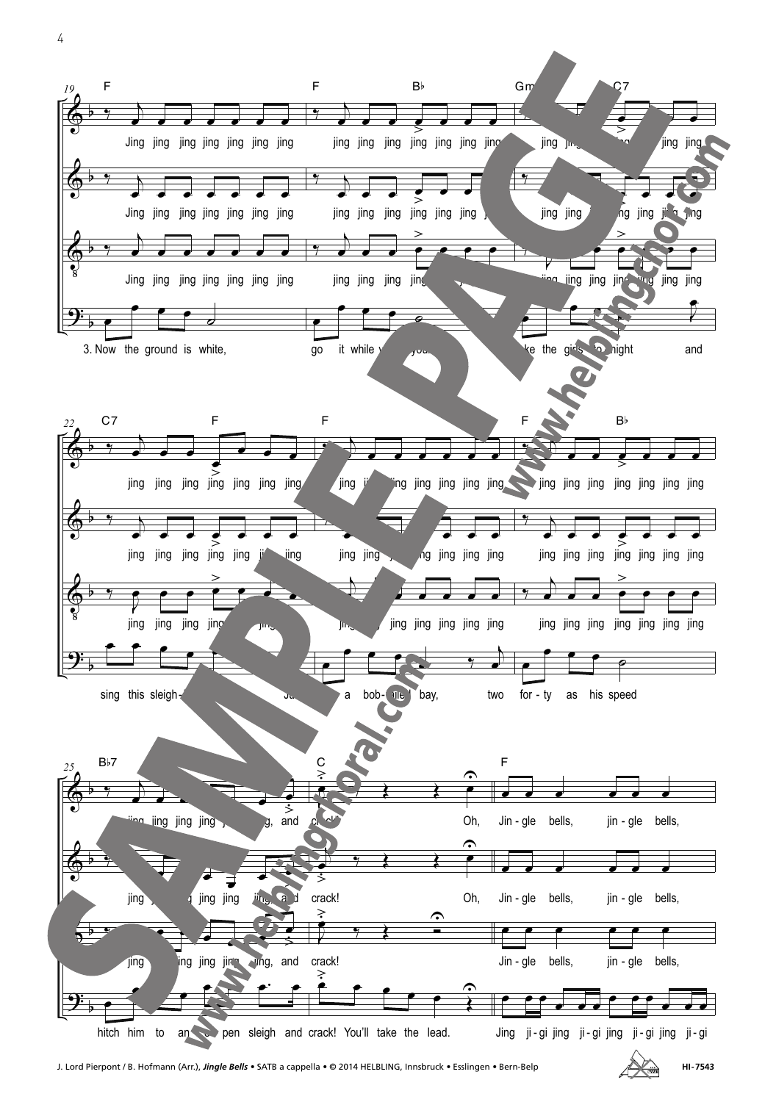